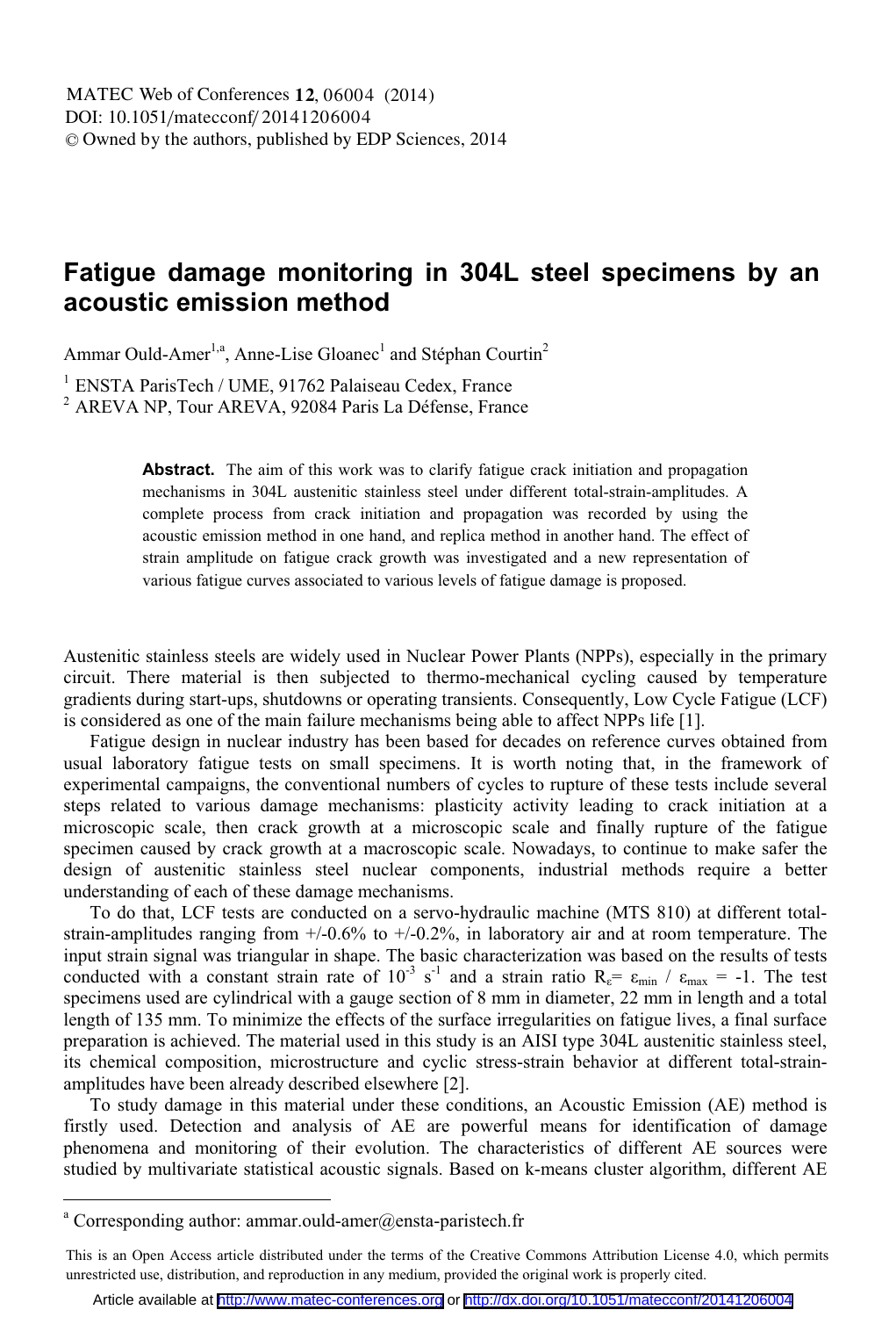## **Fatigue damage monitoring in 304L steel specimens by an acoustic emission method**

Ammar Ould-Amer<sup>1,a</sup>, Anne-Lise Gloanec<sup>1</sup> and Stéphan Courtin<sup>2</sup>

<sup>1</sup> ENSTA ParisTech / UME, 91762 Palaiseau Cedex, France

<sup>2</sup> AREVA NP, Tour AREVA, 92084 Paris La Défense, France

**Abstract.** The aim of this work was to clarify fatigue crack initiation and propagation mechanisms in 304L austenitic stainless steel under different total-strain-amplitudes. A complete process from crack initiation and propagation was recorded by using the acoustic emission method in one hand, and replica method in another hand. The effect of strain amplitude on fatigue crack growth was investigated and a new representation of various fatigue curves associated to various levels of fatigue damage is proposed.

Austenitic stainless steels are widely used in Nuclear Power Plants (NPPs), especially in the primary circuit. There material is then subjected to thermo-mechanical cycling caused by temperature gradients during start-ups, shutdowns or operating transients. Consequently, Low Cycle Fatigue (LCF) is considered as one of the main failure mechanisms being able to affect NPPs life [1].

Fatigue design in nuclear industry has been based for decades on reference curves obtained from usual laboratory fatigue tests on small specimens. It is worth noting that, in the framework of experimental campaigns, the conventional numbers of cycles to rupture of these tests include several steps related to various damage mechanisms: plasticity activity leading to crack initiation at a microscopic scale, then crack growth at a microscopic scale and finally rupture of the fatigue specimen caused by crack growth at a macroscopic scale. Nowadays, to continue to make safer the design of austenitic stainless steel nuclear components, industrial methods require a better understanding of each of these damage mechanisms.

To do that, LCF tests are conducted on a servo-hydraulic machine (MTS 810) at different totalstrain-amplitudes ranging from +/-0.6% to +/-0.2%, in laboratory air and at room temperature. The input strain signal was triangular in shape. The basic characterization was based on the results of tests conducted with a constant strain rate of  $10^{-3}$  s<sup>-1</sup> and a strain ratio R<sub>e</sub>=  $\varepsilon_{min}$  /  $\varepsilon_{max}$  = -1. The test specimens used are cylindrical with a gauge section of 8 mm in diameter, 22 mm in length and a total length of 135 mm. To minimize the effects of the surface irregularities on fatigue lives, a final surface preparation is achieved. The material used in this study is an AISI type 304L austenitic stainless steel, its chemical composition, microstructure and cyclic stress-strain behavior at different total-strainamplitudes have been already described elsewhere [2].

To study damage in this material under these conditions, an Acoustic Emission (AE) method is firstly used. Detection and analysis of AE are powerful means for identification of damage phenomena and monitoring of their evolution. The characteristics of different AE sources were studied by multivariate statistical acoustic signals. Based on k-means cluster algorithm, different AE

a Corresponding author: ammar.ould-amer@ensta-paristech.fr

This is an Open Access article distributed under the terms of the Creative Commons Attribution License 4.0, which permits unrestricted use, distribution, and reproduction in any medium, provided the original work is properly cited.

Article available at <http://www.matec-conferences.org> or <http://dx.doi.org/10.1051/matecconf/20141206004>